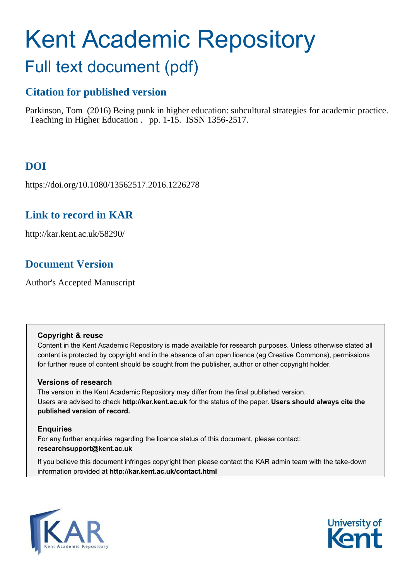# Kent Academic Repository

# Full text document (pdf)

# **Citation for published version**

Parkinson, Tom (2016) Being punk in higher education: subcultural strategies for academic practice. Teaching in Higher Education . pp. 1-15. ISSN 1356-2517.

# **DOI**

https://doi.org/10.1080/13562517.2016.1226278

# **Link to record in KAR**

http://kar.kent.ac.uk/58290/

# **Document Version**

Author's Accepted Manuscript

#### **Copyright & reuse**

Content in the Kent Academic Repository is made available for research purposes. Unless otherwise stated all content is protected by copyright and in the absence of an open licence (eg Creative Commons), permissions for further reuse of content should be sought from the publisher, author or other copyright holder.

#### **Versions of research**

The version in the Kent Academic Repository may differ from the final published version. Users are advised to check **http://kar.kent.ac.uk** for the status of the paper. **Users should always cite the published version of record.**

#### **Enquiries**

For any further enquiries regarding the licence status of this document, please contact: **researchsupport@kent.ac.uk**

If you believe this document infringes copyright then please contact the KAR admin team with the take-down information provided at **http://kar.kent.ac.uk/contact.html**



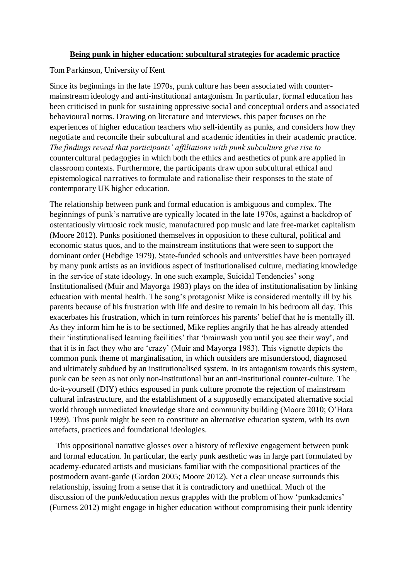#### **Being punk in higher education: subcultural strategies for academic practice**

Tom Parkinson, University of Kent

Since its beginnings in the late 1970s, punk culture has been associated with countermainstream ideology and anti-institutional antagonism. In particular, formal education has been criticised in punk for sustaining oppressive social and conceptual orders and associated behavioural norms. Drawing on literature and interviews, this paper focuses on the experiences of higher education teachers who self-identify as punks, and considers how they negotiate and reconcile their subcultural and academic identities in their academic practice. *The findings reveal that participants' affiliations with punk subculture give rise to*  countercultural pedagogies in which both the ethics and aesthetics of punk are applied in classroom contexts. Furthermore, the participants draw upon subcultural ethical and epistemological narratives to formulate and rationalise their responses to the state of contemporary UK higher education.

The relationship between punk and formal education is ambiguous and complex. The beginnings of punk's narrative are typically located in the late 1970s, against a backdrop of ostentatiously virtuosic rock music, manufactured pop music and late free-market capitalism (Moore 2012). Punks positioned themselves in opposition to these cultural, political and economic status quos, and to the mainstream institutions that were seen to support the dominant order (Hebdige 1979). State-funded schools and universities have been portrayed by many punk artists as an invidious aspect of institutionalised culture, mediating knowledge in the service of state ideology. In one such example, Suicidal Tendencies' song Institutionalised (Muir and Mayorga 1983) plays on the idea of institutionalisation by linking education with mental health. The song's protagonist Mike is considered mentally ill by his parents because of his frustration with life and desire to remain in his bedroom all day. This exacerbates his frustration, which in turn reinforces his parents' belief that he is mentally ill. As they inform him he is to be sectioned, Mike replies angrily that he has already attended their 'institutionalised learning facilities' that 'brainwash you until you see their way', and that it is in fact they who are 'crazy' (Muir and Mayorga 1983). This vignette depicts the common punk theme of marginalisation, in which outsiders are misunderstood, diagnosed and ultimately subdued by an institutionalised system. In its antagonism towards this system, punk can be seen as not only non-institutional but an anti-institutional counter-culture. The do-it-yourself (DIY) ethics espoused in punk culture promote the rejection of mainstream cultural infrastructure, and the establishment of a supposedly emancipated alternative social world through unmediated knowledge share and community building (Moore 2010; O'Hara 1999). Thus punk might be seen to constitute an alternative education system, with its own artefacts, practices and foundational ideologies.

 This oppositional narrative glosses over a history of reflexive engagement between punk and formal education. In particular, the early punk aesthetic was in large part formulated by academy-educated artists and musicians familiar with the compositional practices of the postmodern avant-garde (Gordon 2005; Moore 2012). Yet a clear unease surrounds this relationship, issuing from a sense that it is contradictory and unethical. Much of the discussion of the punk/education nexus grapples with the problem of how 'punkademics' (Furness 2012) might engage in higher education without compromising their punk identity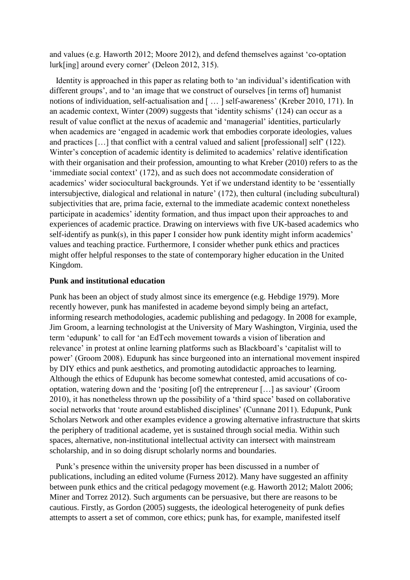and values (e.g. Haworth 2012; Moore 2012), and defend themselves against 'co-optation lurk[ing] around every corner' (Deleon 2012, 315).

 Identity is approached in this paper as relating both to 'an individual's identification with different groups', and to 'an image that we construct of ourselves [in terms of] humanist notions of individuation, self-actualisation and [ … ] self-awareness' (Kreber 2010, 171). In an academic context, Winter (2009) suggests that 'identity schisms' (124) can occur as a result of value conflict at the nexus of academic and 'managerial' identities, particularly when academics are 'engaged in academic work that embodies corporate ideologies, values and practices […] that conflict with a central valued and salient [professional] self' (122). Winter's conception of academic identity is delimited to academics' relative identification with their organisation and their profession, amounting to what Kreber (2010) refers to as the 'immediate social context' (172), and as such does not accommodate consideration of academics' wider sociocultural backgrounds. Yet if we understand identity to be 'essentially intersubjective, dialogical and relational in nature' (172), then cultural (including subcultural) subjectivities that are, prima facie, external to the immediate academic context nonetheless participate in academics' identity formation, and thus impact upon their approaches to and experiences of academic practice. Drawing on interviews with five UK-based academics who self-identify as punk(s), in this paper I consider how punk identity might inform academics' values and teaching practice. Furthermore, I consider whether punk ethics and practices might offer helpful responses to the state of contemporary higher education in the United Kingdom.

#### **Punk and institutional education**

Punk has been an object of study almost since its emergence (e.g. Hebdige 1979). More recently however, punk has manifested in academe beyond simply being an artefact, informing research methodologies, academic publishing and pedagogy. In 2008 for example, Jim Groom, a learning technologist at the University of Mary Washington, Virginia, used the term 'edupunk' to call for 'an EdTech movement towards a vision of liberation and relevance' in protest at online learning platforms such as Blackboard's 'capitalist will to power' (Groom 2008). Edupunk has since burgeoned into an international movement inspired by DIY ethics and punk aesthetics, and promoting autodidactic approaches to learning. Although the ethics of Edupunk has become somewhat contested, amid accusations of cooptation, watering down and the 'positing [of] the entrepreneur […] as saviour' (Groom 2010), it has nonetheless thrown up the possibility of a 'third space' based on collaborative social networks that 'route around established disciplines' (Cunnane 2011). Edupunk, Punk Scholars Network and other examples evidence a growing alternative infrastructure that skirts the periphery of traditional academe, yet is sustained through social media. Within such spaces, alternative, non-institutional intellectual activity can intersect with mainstream scholarship, and in so doing disrupt scholarly norms and boundaries.

 Punk's presence within the university proper has been discussed in a number of publications, including an edited volume (Furness 2012). Many have suggested an affinity between punk ethics and the critical pedagogy movement (e.g. Haworth 2012; Malott 2006; Miner and Torrez 2012). Such arguments can be persuasive, but there are reasons to be cautious. Firstly, as Gordon (2005) suggests, the ideological heterogeneity of punk defies attempts to assert a set of common, core ethics; punk has, for example, manifested itself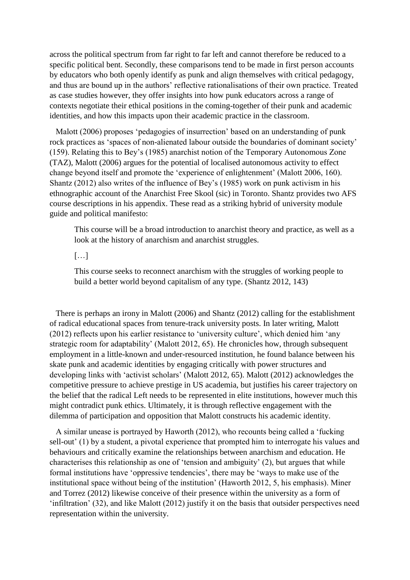across the political spectrum from far right to far left and cannot therefore be reduced to a specific political bent. Secondly, these comparisons tend to be made in first person accounts by educators who both openly identify as punk and align themselves with critical pedagogy, and thus are bound up in the authors' reflective rationalisations of their own practice. Treated as case studies however, they offer insights into how punk educators across a range of contexts negotiate their ethical positions in the coming-together of their punk and academic identities, and how this impacts upon their academic practice in the classroom.

 Malott (2006) proposes 'pedagogies of insurrection' based on an understanding of punk rock practices as 'spaces of non-alienated labour outside the boundaries of dominant society' (159). Relating this to Bey's (1985) anarchist notion of the Temporary Autonomous Zone (TAZ), Malott (2006) argues for the potential of localised autonomous activity to effect change beyond itself and promote the 'experience of enlightenment' (Malott 2006, 160). Shantz (2012) also writes of the influence of Bey's (1985) work on punk activism in his ethnographic account of the Anarchist Free Skool (sic) in Toronto. Shantz provides two AFS course descriptions in his appendix. These read as a striking hybrid of university module guide and political manifesto:

This course will be a broad introduction to anarchist theory and practice, as well as a look at the history of anarchism and anarchist struggles.

[…]

This course seeks to reconnect anarchism with the struggles of working people to build a better world beyond capitalism of any type. (Shantz 2012, 143)

 There is perhaps an irony in Malott (2006) and Shantz (2012) calling for the establishment of radical educational spaces from tenure-track university posts. In later writing, Malott (2012) reflects upon his earlier resistance to 'university culture', which denied him 'any strategic room for adaptability' (Malott 2012, 65). He chronicles how, through subsequent employment in a little-known and under-resourced institution, he found balance between his skate punk and academic identities by engaging critically with power structures and developing links with 'activist scholars' (Malott 2012, 65). Malott (2012) acknowledges the competitive pressure to achieve prestige in US academia, but justifies his career trajectory on the belief that the radical Left needs to be represented in elite institutions, however much this might contradict punk ethics. Ultimately, it is through reflective engagement with the dilemma of participation and opposition that Malott constructs his academic identity.

 A similar unease is portrayed by Haworth (2012), who recounts being called a 'fucking sell-out' (1) by a student, a pivotal experience that prompted him to interrogate his values and behaviours and critically examine the relationships between anarchism and education. He characterises this relationship as one of 'tension and ambiguity' (2), but argues that while formal institutions have 'oppressive tendencies', there may be 'ways to make use of the institutional space without being of the institution' (Haworth 2012, 5, his emphasis). Miner and Torrez (2012) likewise conceive of their presence within the university as a form of 'infiltration' (32), and like Malott (2012) justify it on the basis that outsider perspectives need representation within the university.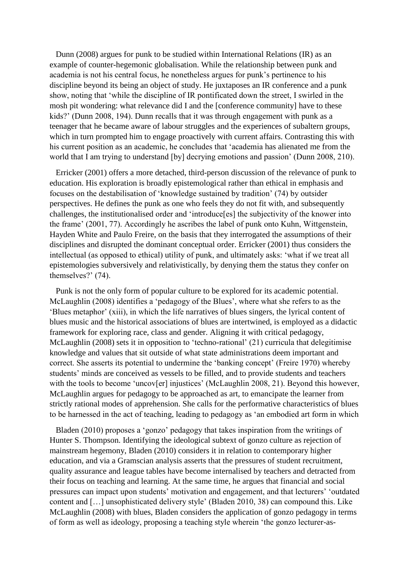Dunn (2008) argues for punk to be studied within International Relations (IR) as an example of counter-hegemonic globalisation. While the relationship between punk and academia is not his central focus, he nonetheless argues for punk's pertinence to his discipline beyond its being an object of study. He juxtaposes an IR conference and a punk show, noting that 'while the discipline of IR pontificated down the street, I swirled in the mosh pit wondering: what relevance did I and the [conference community] have to these kids?' (Dunn 2008, 194). Dunn recalls that it was through engagement with punk as a teenager that he became aware of labour struggles and the experiences of subaltern groups, which in turn prompted him to engage proactively with current affairs. Contrasting this with his current position as an academic, he concludes that 'academia has alienated me from the world that I am trying to understand [by] decrying emotions and passion' (Dunn 2008, 210).

 Erricker (2001) offers a more detached, third-person discussion of the relevance of punk to education. His exploration is broadly epistemological rather than ethical in emphasis and focuses on the destabilisation of 'knowledge sustained by tradition' (74) by outsider perspectives. He defines the punk as one who feels they do not fit with, and subsequently challenges, the institutionalised order and 'introduce[es] the subjectivity of the knower into the frame' (2001, 77). Accordingly he ascribes the label of punk onto Kuhn, Wittgenstein, Hayden White and Paulo Freire, on the basis that they interrogated the assumptions of their disciplines and disrupted the dominant conceptual order. Erricker (2001) thus considers the intellectual (as opposed to ethical) utility of punk, and ultimately asks: 'what if we treat all epistemologies subversively and relativistically, by denying them the status they confer on themselves?' (74).

 Punk is not the only form of popular culture to be explored for its academic potential. McLaughlin (2008) identifies a 'pedagogy of the Blues', where what she refers to as the 'Blues metaphor' (xiii), in which the life narratives of blues singers, the lyrical content of blues music and the historical associations of blues are intertwined, is employed as a didactic framework for exploring race, class and gender. Aligning it with critical pedagogy, McLaughlin (2008) sets it in opposition to 'techno-rational' (21) curricula that delegitimise knowledge and values that sit outside of what state administrations deem important and correct. She asserts its potential to undermine the 'banking concept' (Freire 1970) whereby students' minds are conceived as vessels to be filled, and to provide students and teachers with the tools to become 'uncov[er] injustices' (McLaughlin 2008, 21). Beyond this however, McLaughlin argues for pedagogy to be approached as art, to emancipate the learner from strictly rational modes of apprehension. She calls for the performative characteristics of blues to be harnessed in the act of teaching, leading to pedagogy as 'an embodied art form in which

 Bladen (2010) proposes a 'gonzo' pedagogy that takes inspiration from the writings of Hunter S. Thompson. Identifying the ideological subtext of gonzo culture as rejection of mainstream hegemony, Bladen (2010) considers it in relation to contemporary higher education, and via a Gramscian analysis asserts that the pressures of student recruitment, quality assurance and league tables have become internalised by teachers and detracted from their focus on teaching and learning. At the same time, he argues that financial and social pressures can impact upon students' motivation and engagement, and that lecturers' 'outdated content and […] unsophisticated delivery style' (Bladen 2010, 38) can compound this. Like McLaughlin (2008) with blues, Bladen considers the application of gonzo pedagogy in terms of form as well as ideology, proposing a teaching style wherein 'the gonzo lecturer-as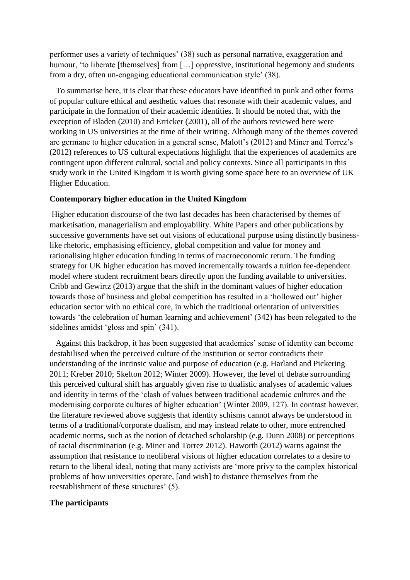performer uses a variety of techniques' (38) such as personal narrative, exaggeration and humour, 'to liberate [themselves] from [...] oppressive, institutional hegemony and students from a dry, often un-engaging educational communication style' (38).

 To summarise here, it is clear that these educators have identified in punk and other forms of popular culture ethical and aesthetic values that resonate with their academic values, and participate in the formation of their academic identities. It should be noted that, with the exception of Bladen (2010) and Erricker (2001), all of the authors reviewed here were working in US universities at the time of their writing. Although many of the themes covered are germane to higher education in a general sense, Malott's (2012) and Miner and Torrez's (2012) references to US cultural expectations highlight that the experiences of academics are contingent upon different cultural, social and policy contexts. Since all participants in this study work in the United Kingdom it is worth giving some space here to an overview of UK Higher Education.

#### **Contemporary higher education in the United Kingdom**

 Higher education discourse of the two last decades has been characterised by themes of marketisation, managerialism and employability. White Papers and other publications by successive governments have set out visions of educational purpose using distinctly businesslike rhetoric, emphasising efficiency, global competition and value for money and rationalising higher education funding in terms of macroeconomic return. The funding strategy for UK higher education has moved incrementally towards a tuition fee-dependent model where student recruitment bears directly upon the funding available to universities. Cribb and Gewirtz (2013) argue that the shift in the dominant values of higher education towards those of business and global competition has resulted in a 'hollowed out' higher education sector with no ethical core, in which the traditional orientation of universities towards 'the celebration of human learning and achievement' (342) has been relegated to the sidelines amidst 'gloss and spin' (341).

 Against this backdrop, it has been suggested that academics' sense of identity can become destabilised when the perceived culture of the institution or sector contradicts their understanding of the intrinsic value and purpose of education (e.g. Harland and Pickering 2011; Kreber 2010; Skelton 2012; Winter 2009). However, the level of debate surrounding this perceived cultural shift has arguably given rise to dualistic analyses of academic values and identity in terms of the 'clash of values between traditional academic cultures and the modernising corporate cultures of higher education' (Winter 2009, 127). In contrast however, the literature reviewed above suggests that identity schisms cannot always be understood in terms of a traditional/corporate dualism, and may instead relate to other, more entrenched academic norms, such as the notion of detached scholarship (e.g. Dunn 2008) or perceptions of racial discrimination (e.g. Miner and Torrez 2012). Haworth (2012) warns against the assumption that resistance to neoliberal visions of higher education correlates to a desire to return to the liberal ideal, noting that many activists are 'more privy to the complex historical problems of how universities operate, [and wish] to distance themselves from the reestablishment of these structures' (5).

#### **The participants**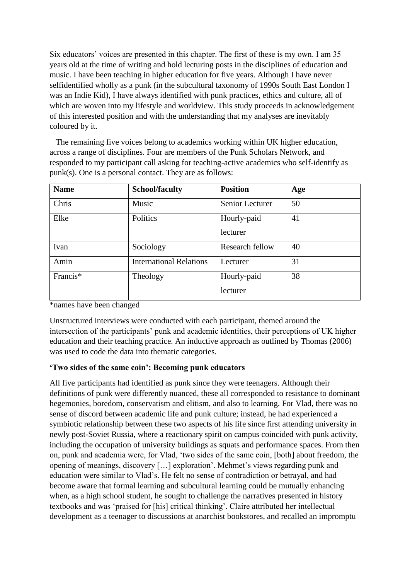Six educators' voices are presented in this chapter. The first of these is my own. I am 35 years old at the time of writing and hold lecturing posts in the disciplines of education and music. I have been teaching in higher education for five years. Although I have never selfidentified wholly as a punk (in the subcultural taxonomy of 1990s South East London I was an Indie Kid), I have always identified with punk practices, ethics and culture, all of which are woven into my lifestyle and worldview. This study proceeds in acknowledgement of this interested position and with the understanding that my analyses are inevitably coloured by it.

 The remaining five voices belong to academics working within UK higher education, across a range of disciplines. Four are members of the Punk Scholars Network, and responded to my participant call asking for teaching-active academics who self-identify as punk(s). One is a personal contact. They are as follows:

| <b>Name</b> | <b>School/faculty</b>          | <b>Position</b> | Age |
|-------------|--------------------------------|-----------------|-----|
| Chris       | Music                          | Senior Lecturer | 50  |
| Elke        | Politics                       | Hourly-paid     | 41  |
|             |                                | lecturer        |     |
| Ivan        | Sociology                      | Research fellow | 40  |
| Amin        | <b>International Relations</b> | Lecturer        | 31  |
| Francis*    | Theology                       | Hourly-paid     | 38  |
|             |                                | lecturer        |     |

\*names have been changed

Unstructured interviews were conducted with each participant, themed around the intersection of the participants' punk and academic identities, their perceptions of UK higher education and their teaching practice. An inductive approach as outlined by Thomas (2006) was used to code the data into thematic categories.

#### **'Two sides of the same coin': Becoming punk educators**

All five participants had identified as punk since they were teenagers. Although their definitions of punk were differently nuanced, these all corresponded to resistance to dominant hegemonies, boredom, conservatism and elitism, and also to learning. For Vlad, there was no sense of discord between academic life and punk culture; instead, he had experienced a symbiotic relationship between these two aspects of his life since first attending university in newly post-Soviet Russia, where a reactionary spirit on campus coincided with punk activity, including the occupation of university buildings as squats and performance spaces. From then on, punk and academia were, for Vlad, 'two sides of the same coin, [both] about freedom, the opening of meanings, discovery […] exploration'. Mehmet's views regarding punk and education were similar to Vlad's. He felt no sense of contradiction or betrayal, and had become aware that formal learning and subcultural learning could be mutually enhancing when, as a high school student, he sought to challenge the narratives presented in history textbooks and was 'praised for [his] critical thinking'. Claire attributed her intellectual development as a teenager to discussions at anarchist bookstores, and recalled an impromptu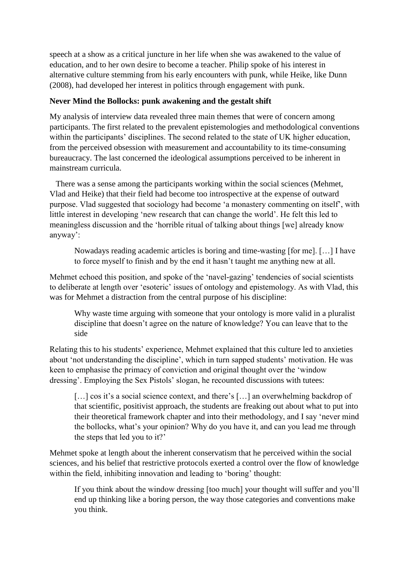speech at a show as a critical juncture in her life when she was awakened to the value of education, and to her own desire to become a teacher. Philip spoke of his interest in alternative culture stemming from his early encounters with punk, while Heike, like Dunn (2008), had developed her interest in politics through engagement with punk.

#### **Never Mind the Bollocks: punk awakening and the gestalt shift**

My analysis of interview data revealed three main themes that were of concern among participants. The first related to the prevalent epistemologies and methodological conventions within the participants' disciplines. The second related to the state of UK higher education, from the perceived obsession with measurement and accountability to its time-consuming bureaucracy. The last concerned the ideological assumptions perceived to be inherent in mainstream curricula.

 There was a sense among the participants working within the social sciences (Mehmet, Vlad and Heike) that their field had become too introspective at the expense of outward purpose. Vlad suggested that sociology had become 'a monastery commenting on itself', with little interest in developing 'new research that can change the world'. He felt this led to meaningless discussion and the 'horrible ritual of talking about things [we] already know anyway':

Nowadays reading academic articles is boring and time-wasting [for me]. […] I have to force myself to finish and by the end it hasn't taught me anything new at all.

Mehmet echoed this position, and spoke of the 'navel-gazing' tendencies of social scientists to deliberate at length over 'esoteric' issues of ontology and epistemology. As with Vlad, this was for Mehmet a distraction from the central purpose of his discipline:

Why waste time arguing with someone that your ontology is more valid in a pluralist discipline that doesn't agree on the nature of knowledge? You can leave that to the side

Relating this to his students' experience, Mehmet explained that this culture led to anxieties about 'not understanding the discipline', which in turn sapped students' motivation. He was keen to emphasise the primacy of conviction and original thought over the 'window dressing'. Employing the Sex Pistols' slogan, he recounted discussions with tutees:

[...] cos it's a social science context, and there's [...] an overwhelming backdrop of that scientific, positivist approach, the students are freaking out about what to put into their theoretical framework chapter and into their methodology, and I say 'never mind the bollocks, what's your opinion? Why do you have it, and can you lead me through the steps that led you to it?'

Mehmet spoke at length about the inherent conservatism that he perceived within the social sciences, and his belief that restrictive protocols exerted a control over the flow of knowledge within the field, inhibiting innovation and leading to 'boring' thought:

If you think about the window dressing [too much] your thought will suffer and you'll end up thinking like a boring person, the way those categories and conventions make you think.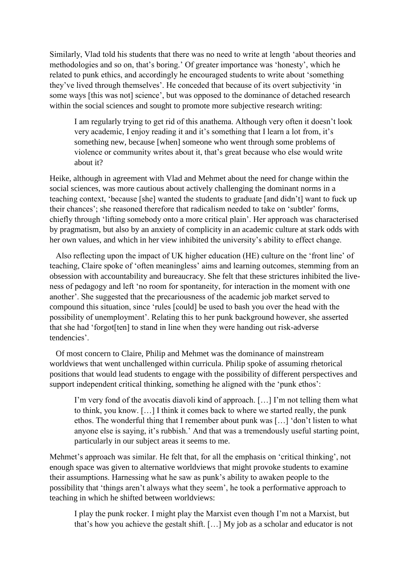Similarly, Vlad told his students that there was no need to write at length 'about theories and methodologies and so on, that's boring.' Of greater importance was 'honesty', which he related to punk ethics, and accordingly he encouraged students to write about 'something they've lived through themselves'. He conceded that because of its overt subjectivity 'in some ways [this was not] science', but was opposed to the dominance of detached research within the social sciences and sought to promote more subjective research writing:

I am regularly trying to get rid of this anathema. Although very often it doesn't look very academic, I enjoy reading it and it's something that I learn a lot from, it's something new, because [when] someone who went through some problems of violence or community writes about it, that's great because who else would write about it?

Heike, although in agreement with Vlad and Mehmet about the need for change within the social sciences, was more cautious about actively challenging the dominant norms in a teaching context, 'because [she] wanted the students to graduate [and didn't] want to fuck up their chances'; she reasoned therefore that radicalism needed to take on 'subtler' forms, chiefly through 'lifting somebody onto a more critical plain'. Her approach was characterised by pragmatism, but also by an anxiety of complicity in an academic culture at stark odds with her own values, and which in her view inhibited the university's ability to effect change.

 Also reflecting upon the impact of UK higher education (HE) culture on the 'front line' of teaching, Claire spoke of 'often meaningless' aims and learning outcomes, stemming from an obsession with accountability and bureaucracy. She felt that these strictures inhibited the liveness of pedagogy and left 'no room for spontaneity, for interaction in the moment with one another'. She suggested that the precariousness of the academic job market served to compound this situation, since 'rules [could] be used to bash you over the head with the possibility of unemployment'. Relating this to her punk background however, she asserted that she had 'forgot[ten] to stand in line when they were handing out risk-adverse tendencies'.

 Of most concern to Claire, Philip and Mehmet was the dominance of mainstream worldviews that went unchallenged within curricula. Philip spoke of assuming rhetorical positions that would lead students to engage with the possibility of different perspectives and support independent critical thinking, something he aligned with the 'punk ethos':

I'm very fond of the avocatis diavoli kind of approach. […] I'm not telling them what to think, you know. […] I think it comes back to where we started really, the punk ethos. The wonderful thing that I remember about punk was […] 'don't listen to what anyone else is saying, it's rubbish.' And that was a tremendously useful starting point, particularly in our subject areas it seems to me.

Mehmet's approach was similar. He felt that, for all the emphasis on 'critical thinking', not enough space was given to alternative worldviews that might provoke students to examine their assumptions. Harnessing what he saw as punk's ability to awaken people to the possibility that 'things aren't always what they seem', he took a performative approach to teaching in which he shifted between worldviews:

I play the punk rocker. I might play the Marxist even though I'm not a Marxist, but that's how you achieve the gestalt shift. […] My job as a scholar and educator is not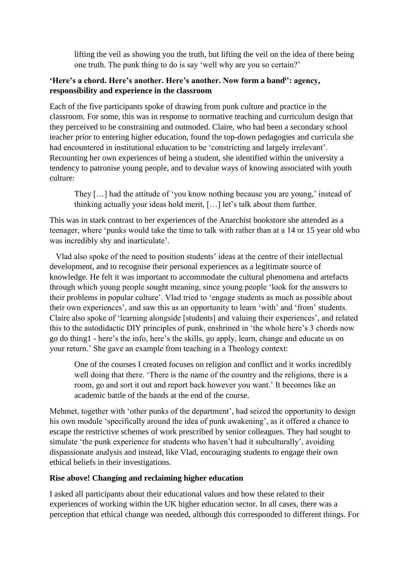lifting the veil as showing you the truth, but lifting the veil on the idea of there being one truth. The punk thing to do is say 'well why are you so certain?'

#### **'Here's a chord. Here's another. Here's another. Now form a band<sup>i</sup> ': agency, responsibility and experience in the classroom**

Each of the five participants spoke of drawing from punk culture and practice in the classroom. For some, this was in response to normative teaching and curriculum design that they perceived to be constraining and outmoded. Claire, who had been a secondary school teacher prior to entering higher education, found the top-down pedagogies and curricula she had encountered in institutional education to be 'constricting and largely irrelevant'. Recounting her own experiences of being a student, she identified within the university a tendency to patronise young people, and to devalue ways of knowing associated with youth culture:

They […] had the attitude of 'you know nothing because you are young,' instead of thinking actually your ideas hold merit, […] let's talk about them further.

This was in stark contrast to her experiences of the Anarchist bookstore she attended as a teenager, where 'punks would take the time to talk with rather than at a 14 or 15 year old who was incredibly shy and inarticulate'.

 Vlad also spoke of the need to position students' ideas at the centre of their intellectual development, and to recognise their personal experiences as a legitimate source of knowledge. He felt it was important to accommodate the cultural phenomena and artefacts through which young people sought meaning, since young people 'look for the answers to their problems in popular culture'. Vlad tried to 'engage students as much as possible about their own experiences', and saw this as an opportunity to learn 'with' and 'from' students. Claire also spoke of 'learning alongside [students] and valuing their experiences', and related this to the autodidactic DIY principles of punk, enshrined in 'the whole here's 3 chords now go do thing1 - here's the info, here's the skills, go apply, learn, change and educate us on your return.' She gave an example from teaching in a Theology context:

One of the courses I created focuses on religion and conflict and it works incredibly well doing that there. 'There is the name of the country and the religions, there is a room, go and sort it out and report back however you want.' It becomes like an academic battle of the bands at the end of the course.

Mehmet, together with 'other punks of the department', had seized the opportunity to design his own module 'specifically around the idea of punk awakening', as it offered a chance to escape the restrictive schemes of work prescribed by senior colleagues. They had sought to simulate 'the punk experience for students who haven't had it subculturally', avoiding dispassionate analysis and instead, like Vlad, encouraging students to engage their own ethical beliefs in their investigations.

#### **Rise above! Changing and reclaiming higher education**

I asked all participants about their educational values and how these related to their experiences of working within the UK higher education sector. In all cases, there was a perception that ethical change was needed, although this corresponded to different things. For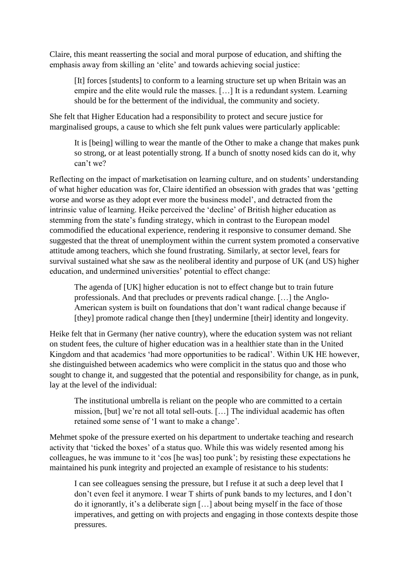Claire, this meant reasserting the social and moral purpose of education, and shifting the emphasis away from skilling an 'elite' and towards achieving social justice:

[It] forces [students] to conform to a learning structure set up when Britain was an empire and the elite would rule the masses. […] It is a redundant system. Learning should be for the betterment of the individual, the community and society.

She felt that Higher Education had a responsibility to protect and secure justice for marginalised groups, a cause to which she felt punk values were particularly applicable:

It is [being] willing to wear the mantle of the Other to make a change that makes punk so strong, or at least potentially strong. If a bunch of snotty nosed kids can do it, why can't we?

Reflecting on the impact of marketisation on learning culture, and on students' understanding of what higher education was for, Claire identified an obsession with grades that was 'getting worse and worse as they adopt ever more the business model', and detracted from the intrinsic value of learning. Heike perceived the 'decline' of British higher education as stemming from the state's funding strategy, which in contrast to the European model commodified the educational experience, rendering it responsive to consumer demand. She suggested that the threat of unemployment within the current system promoted a conservative attitude among teachers, which she found frustrating. Similarly, at sector level, fears for survival sustained what she saw as the neoliberal identity and purpose of UK (and US) higher education, and undermined universities' potential to effect change:

The agenda of [UK] higher education is not to effect change but to train future professionals. And that precludes or prevents radical change. […] the Anglo-American system is built on foundations that don't want radical change because if [they] promote radical change then [they] undermine [their] identity and longevity.

Heike felt that in Germany (her native country), where the education system was not reliant on student fees, the culture of higher education was in a healthier state than in the United Kingdom and that academics 'had more opportunities to be radical'. Within UK HE however, she distinguished between academics who were complicit in the status quo and those who sought to change it, and suggested that the potential and responsibility for change, as in punk, lay at the level of the individual:

The institutional umbrella is reliant on the people who are committed to a certain mission, [but] we're not all total sell-outs. […] The individual academic has often retained some sense of 'I want to make a change'.

Mehmet spoke of the pressure exerted on his department to undertake teaching and research activity that 'ticked the boxes' of a status quo. While this was widely resented among his colleagues, he was immune to it 'cos [he was] too punk'; by resisting these expectations he maintained his punk integrity and projected an example of resistance to his students:

I can see colleagues sensing the pressure, but I refuse it at such a deep level that I don't even feel it anymore. I wear T shirts of punk bands to my lectures, and I don't do it ignorantly, it's a deliberate sign […] about being myself in the face of those imperatives, and getting on with projects and engaging in those contexts despite those pressures.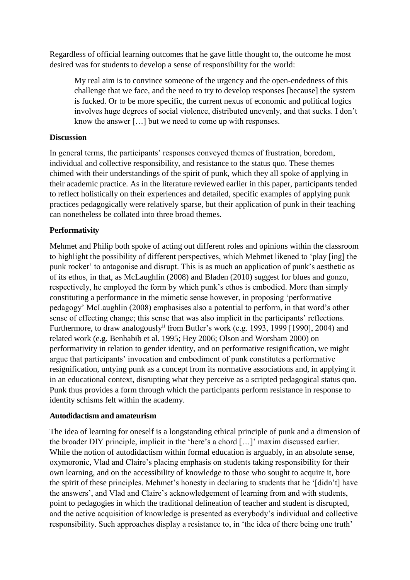Regardless of official learning outcomes that he gave little thought to, the outcome he most desired was for students to develop a sense of responsibility for the world:

My real aim is to convince someone of the urgency and the open-endedness of this challenge that we face, and the need to try to develop responses [because] the system is fucked. Or to be more specific, the current nexus of economic and political logics involves huge degrees of social violence, distributed unevenly, and that sucks. I don't know the answer […] but we need to come up with responses.

#### **Discussion**

In general terms, the participants' responses conveyed themes of frustration, boredom, individual and collective responsibility, and resistance to the status quo. These themes chimed with their understandings of the spirit of punk, which they all spoke of applying in their academic practice. As in the literature reviewed earlier in this paper, participants tended to reflect holistically on their experiences and detailed, specific examples of applying punk practices pedagogically were relatively sparse, but their application of punk in their teaching can nonetheless be collated into three broad themes.

#### **Performativity**

Mehmet and Philip both spoke of acting out different roles and opinions within the classroom to highlight the possibility of different perspectives, which Mehmet likened to 'play [ing] the punk rocker' to antagonise and disrupt. This is as much an application of punk's aesthetic as of its ethos, in that, as McLaughlin (2008) and Bladen (2010) suggest for blues and gonzo, respectively, he employed the form by which punk's ethos is embodied. More than simply constituting a performance in the mimetic sense however, in proposing 'performative pedagogy' McLaughlin (2008) emphasises also a potential to perform, in that word's other sense of effecting change; this sense that was also implicit in the participants' reflections. Furthermore, to draw analogously<sup>ii</sup> from Butler's work (e.g. 1993, 1999 [1990], 2004) and related work (e.g. Benhabib et al. 1995; Hey 2006; Olson and Worsham 2000) on performativity in relation to gender identity, and on performative resignification, we might argue that participants' invocation and embodiment of punk constitutes a performative resignification, untying punk as a concept from its normative associations and, in applying it in an educational context, disrupting what they perceive as a scripted pedagogical status quo. Punk thus provides a form through which the participants perform resistance in response to identity schisms felt within the academy.

#### **Autodidactism and amateurism**

The idea of learning for oneself is a longstanding ethical principle of punk and a dimension of the broader DIY principle, implicit in the 'here's a chord […]' maxim discussed earlier. While the notion of autodidactism within formal education is arguably, in an absolute sense, oxymoronic, Vlad and Claire's placing emphasis on students taking responsibility for their own learning, and on the accessibility of knowledge to those who sought to acquire it, bore the spirit of these principles. Mehmet's honesty in declaring to students that he '[didn't] have the answers', and Vlad and Claire's acknowledgement of learning from and with students, point to pedagogies in which the traditional delineation of teacher and student is disrupted, and the active acquisition of knowledge is presented as everybody's individual and collective responsibility. Such approaches display a resistance to, in 'the idea of there being one truth'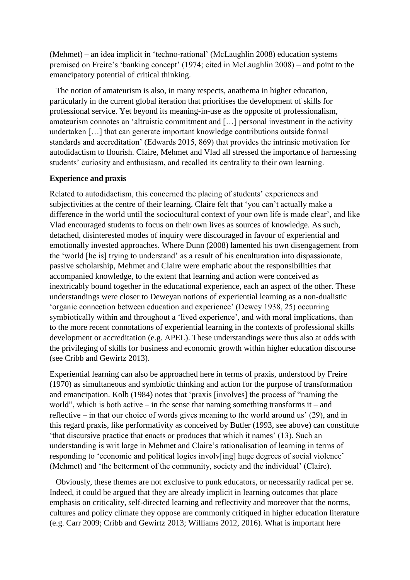(Mehmet) – an idea implicit in 'techno-rational' (McLaughlin 2008) education systems premised on Freire's 'banking concept' (1974; cited in McLaughlin 2008) – and point to the emancipatory potential of critical thinking.

 The notion of amateurism is also, in many respects, anathema in higher education, particularly in the current global iteration that prioritises the development of skills for professional service. Yet beyond its meaning-in-use as the opposite of professionalism, amateurism connotes an 'altruistic commitment and […] personal investment in the activity undertaken […] that can generate important knowledge contributions outside formal standards and accreditation' (Edwards 2015, 869) that provides the intrinsic motivation for autodidactism to flourish. Claire, Mehmet and Vlad all stressed the importance of harnessing students' curiosity and enthusiasm, and recalled its centrality to their own learning.

#### **Experience and praxis**

Related to autodidactism, this concerned the placing of students' experiences and subjectivities at the centre of their learning. Claire felt that 'you can't actually make a difference in the world until the sociocultural context of your own life is made clear', and like Vlad encouraged students to focus on their own lives as sources of knowledge. As such, detached, disinterested modes of inquiry were discouraged in favour of experiential and emotionally invested approaches. Where Dunn (2008) lamented his own disengagement from the 'world [he is] trying to understand' as a result of his enculturation into dispassionate, passive scholarship, Mehmet and Claire were emphatic about the responsibilities that accompanied knowledge, to the extent that learning and action were conceived as inextricably bound together in the educational experience, each an aspect of the other. These understandings were closer to Deweyan notions of experiential learning as a non-dualistic 'organic connection between education and experience' (Dewey 1938, 25) occurring symbiotically within and throughout a 'lived experience', and with moral implications, than to the more recent connotations of experiential learning in the contexts of professional skills development or accreditation (e.g. APEL). These understandings were thus also at odds with the privileging of skills for business and economic growth within higher education discourse (see Cribb and Gewirtz 2013).

Experiential learning can also be approached here in terms of praxis, understood by Freire (1970) as simultaneous and symbiotic thinking and action for the purpose of transformation and emancipation. Kolb (1984) notes that 'praxis [involves] the process of "naming the world", which is both active – in the sense that naming something transforms it – and reflective – in that our choice of words gives meaning to the world around us' (29), and in this regard praxis, like performativity as conceived by Butler (1993, see above) can constitute 'that discursive practice that enacts or produces that which it names' (13). Such an understanding is writ large in Mehmet and Claire's rationalisation of learning in terms of responding to 'economic and political logics involver linearly huge degrees of social violence' (Mehmet) and 'the betterment of the community, society and the individual' (Claire).

 Obviously, these themes are not exclusive to punk educators, or necessarily radical per se. Indeed, it could be argued that they are already implicit in learning outcomes that place emphasis on criticality, self-directed learning and reflectivity and moreover that the norms, cultures and policy climate they oppose are commonly critiqued in higher education literature (e.g. Carr 2009; Cribb and Gewirtz 2013; Williams 2012, 2016). What is important here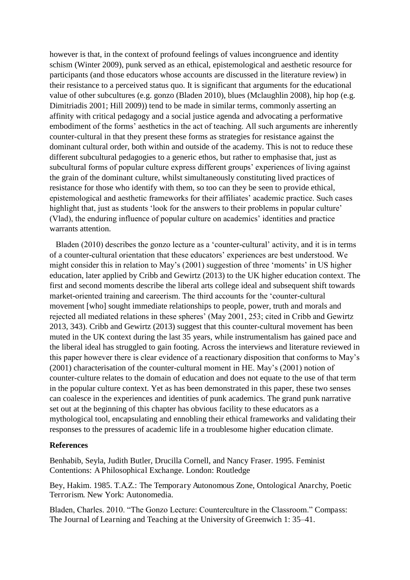however is that, in the context of profound feelings of values incongruence and identity schism (Winter 2009), punk served as an ethical, epistemological and aesthetic resource for participants (and those educators whose accounts are discussed in the literature review) in their resistance to a perceived status quo. It is significant that arguments for the educational value of other subcultures (e.g. gonzo (Bladen 2010), blues (Mclaughlin 2008), hip hop (e.g. Dimitriadis 2001; Hill 2009)) tend to be made in similar terms, commonly asserting an affinity with critical pedagogy and a social justice agenda and advocating a performative embodiment of the forms' aesthetics in the act of teaching. All such arguments are inherently counter-cultural in that they present these forms as strategies for resistance against the dominant cultural order, both within and outside of the academy. This is not to reduce these different subcultural pedagogies to a generic ethos, but rather to emphasise that, just as subcultural forms of popular culture express different groups' experiences of living against the grain of the dominant culture, whilst simultaneously constituting lived practices of resistance for those who identify with them, so too can they be seen to provide ethical, epistemological and aesthetic frameworks for their affiliates' academic practice. Such cases highlight that, just as students 'look for the answers to their problems in popular culture' (Vlad), the enduring influence of popular culture on academics' identities and practice warrants attention.

 Bladen (2010) describes the gonzo lecture as a 'counter-cultural' activity, and it is in terms of a counter-cultural orientation that these educators' experiences are best understood. We might consider this in relation to May's (2001) suggestion of three 'moments' in US higher education, later applied by Cribb and Gewirtz (2013) to the UK higher education context. The first and second moments describe the liberal arts college ideal and subsequent shift towards market-oriented training and careerism. The third accounts for the 'counter-cultural movement [who] sought immediate relationships to people, power, truth and morals and rejected all mediated relations in these spheres' (May 2001, 253; cited in Cribb and Gewirtz 2013, 343). Cribb and Gewirtz (2013) suggest that this counter-cultural movement has been muted in the UK context during the last 35 years, while instrumentalism has gained pace and the liberal ideal has struggled to gain footing. Across the interviews and literature reviewed in this paper however there is clear evidence of a reactionary disposition that conforms to May's (2001) characterisation of the counter-cultural moment in HE. May's (2001) notion of counter-culture relates to the domain of education and does not equate to the use of that term in the popular culture context. Yet as has been demonstrated in this paper, these two senses can coalesce in the experiences and identities of punk academics. The grand punk narrative set out at the beginning of this chapter has obvious facility to these educators as a mythological tool, encapsulating and ennobling their ethical frameworks and validating their responses to the pressures of academic life in a troublesome higher education climate.

#### **References**

Benhabib, Seyla, Judith Butler, Drucilla Cornell, and Nancy Fraser. 1995. Feminist Contentions: A Philosophical Exchange. London: Routledge

Bey, Hakim. 1985. T.A.Z.: The Temporary Autonomous Zone, Ontological Anarchy, Poetic Terrorism. New York: Autonomedia.

Bladen, Charles. 2010. "The Gonzo Lecture: Counterculture in the Classroom." Compass: The Journal of Learning and Teaching at the University of Greenwich 1: 35–41.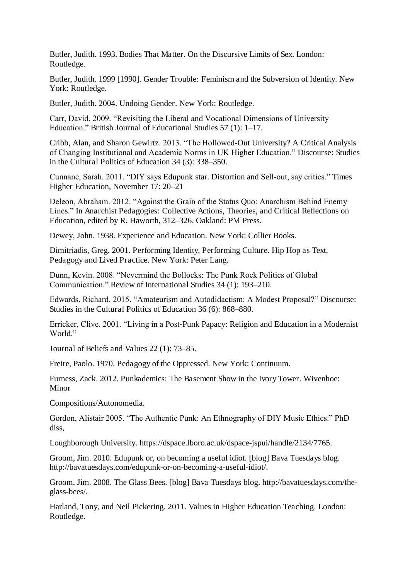Butler, Judith. 1993. Bodies That Matter. On the Discursive Limits of Sex. London: Routledge.

Butler, Judith. 1999 [1990]. Gender Trouble: Feminism and the Subversion of Identity. New York: Routledge.

Butler, Judith. 2004. Undoing Gender. New York: Routledge.

Carr, David. 2009. "Revisiting the Liberal and Vocational Dimensions of University Education." British Journal of Educational Studies 57 (1): 1–17.

Cribb, Alan, and Sharon Gewirtz. 2013. "The Hollowed-Out University? A Critical Analysis of Changing Institutional and Academic Norms in UK Higher Education." Discourse: Studies in the Cultural Politics of Education 34 (3): 338–350.

Cunnane, Sarah. 2011. "DIY says Edupunk star. Distortion and Sell-out, say critics." Times Higher Education, November 17: 20–21

Deleon, Abraham. 2012. "Against the Grain of the Status Quo: Anarchism Behind Enemy Lines." In Anarchist Pedagogies: Collective Actions, Theories, and Critical Reflections on Education, edited by R. Haworth, 312–326. Oakland: PM Press.

Dewey, John. 1938. Experience and Education. New York: Collier Books.

Dimitriadis, Greg. 2001. Performing Identity, Performing Culture. Hip Hop as Text, Pedagogy and Lived Practice. New York: Peter Lang.

Dunn, Kevin. 2008. "Nevermind the Bollocks: The Punk Rock Politics of Global Communication." Review of International Studies 34 (1): 193–210.

Edwards, Richard. 2015. "Amateurism and Autodidactism: A Modest Proposal?" Discourse: Studies in the Cultural Politics of Education 36 (6): 868–880.

Erricker, Clive. 2001. "Living in a Post-Punk Papacy: Religion and Education in a Modernist World."

Journal of Beliefs and Values 22 (1): 73–85.

Freire, Paolo. 1970. Pedagogy of the Oppressed. New York: Continuum.

Furness, Zack. 2012. Punkademics: The Basement Show in the Ivory Tower. Wivenhoe: Minor

Compositions/Autonomedia.

Gordon, Alistair 2005. "The Authentic Punk: An Ethnography of DIY Music Ethics." PhD diss,

Loughborough University. https://dspace.lboro.ac.uk/dspace-jspui/handle/2134/7765.

Groom, Jim. 2010. Edupunk or, on becoming a useful idiot. [blog] Bava Tuesdays blog. http://bavatuesdays.com/edupunk-or-on-becoming-a-useful-idiot/.

Groom, Jim. 2008. The Glass Bees. [blog] Bava Tuesdays blog. http://bavatuesdays.com/theglass-bees/.

Harland, Tony, and Neil Pickering. 2011. Values in Higher Education Teaching. London: Routledge.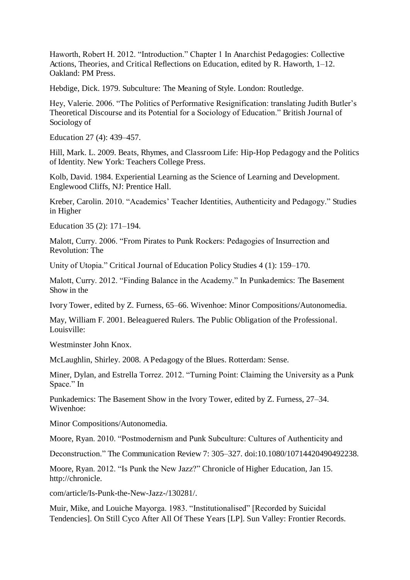Haworth, Robert H. 2012. "Introduction." Chapter 1 In Anarchist Pedagogies: Collective Actions, Theories, and Critical Reflections on Education, edited by R. Haworth, 1–12. Oakland: PM Press.

Hebdige, Dick. 1979. Subculture: The Meaning of Style. London: Routledge.

Hey, Valerie. 2006. "The Politics of Performative Resignification: translating Judith Butler's Theoretical Discourse and its Potential for a Sociology of Education." British Journal of Sociology of

Education 27 (4): 439–457.

Hill, Mark. L. 2009. Beats, Rhymes, and Classroom Life: Hip-Hop Pedagogy and the Politics of Identity. New York: Teachers College Press.

Kolb, David. 1984. Experiential Learning as the Science of Learning and Development. Englewood Cliffs, NJ: Prentice Hall.

Kreber, Carolin. 2010. "Academics' Teacher Identities, Authenticity and Pedagogy." Studies in Higher

Education 35 (2): 171–194.

Malott, Curry. 2006. "From Pirates to Punk Rockers: Pedagogies of Insurrection and Revolution: The

Unity of Utopia." Critical Journal of Education Policy Studies 4 (1): 159–170.

Malott, Curry. 2012. "Finding Balance in the Academy." In Punkademics: The Basement Show in the

Ivory Tower, edited by Z. Furness, 65–66. Wivenhoe: Minor Compositions/Autonomedia.

May, William F. 2001. Beleaguered Rulers. The Public Obligation of the Professional. Louisville:

Westminster John Knox.

McLaughlin, Shirley. 2008. A Pedagogy of the Blues. Rotterdam: Sense.

Miner, Dylan, and Estrella Torrez. 2012. "Turning Point: Claiming the University as a Punk Space." In

Punkademics: The Basement Show in the Ivory Tower, edited by Z. Furness, 27–34. Wivenhoe:

Minor Compositions/Autonomedia.

Moore, Ryan. 2010. "Postmodernism and Punk Subculture: Cultures of Authenticity and

Deconstruction." The Communication Review 7: 305–327. doi:10.1080/10714420490492238.

Moore, Ryan. 2012. "Is Punk the New Jazz?" Chronicle of Higher Education, Jan 15. http://chronicle.

com/article/Is-Punk-the-New-Jazz-/130281/.

Muir, Mike, and Louiche Mayorga. 1983. "Institutionalised" [Recorded by Suicidal Tendencies]. On Still Cyco After All Of These Years [LP]. Sun Valley: Frontier Records.